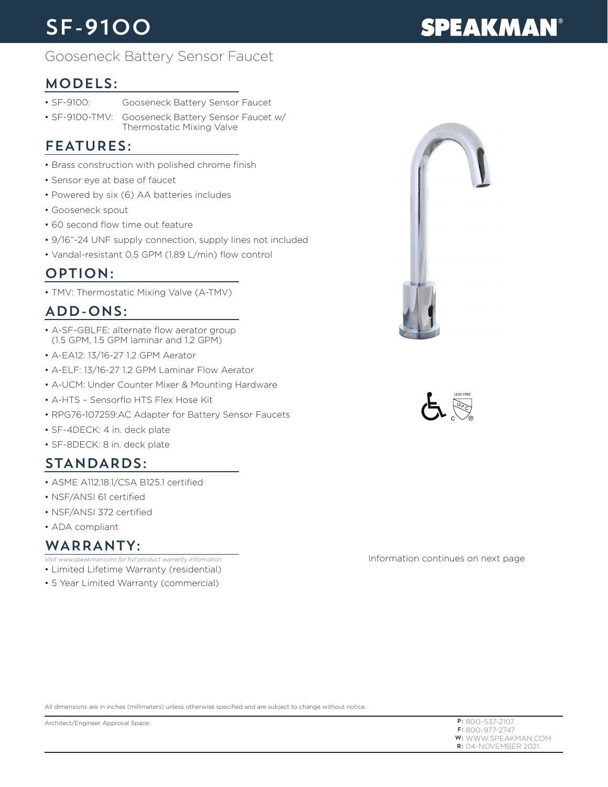# SF-9100

# **SPEAKMAN®**

# Gooseneck Battery Sensor Faucet

# MODELS:

- SF-9100: Gooseneck Battery Sensor Faucet
- SF-9100-TMV: Gooseneck Battery Sensor Faucet w/ Thermostatic Mixing Valve

# FEATURES:

- Brass construction with polished chrome finish
- Sensor eye at base of faucet
- Powered by six (6) AA batteries includes
- Gooseneck spout
- 60 second flow time out feature
- 9/16"-24 UNF supply connection, supply lines not included
- Vandal-resistant 0.5 GPM (1.89 L/min) flow control

## OPTION:

• TMV: Thermostatic Mixing Valve (A-TMV)

# ADD-ONS:

- A-SF-GBLFE: alternate flow aerator group (1.5 GPM, 1.5 GPM laminar and 1.2 GPM)
- A-EA12: 13/16-27 1.2 GPM Aerator
- A-ELF: 13/16-27 1.2 GPM Laminar Flow Aerator
- A-UCM: Under Counter Mixer & Mounting Hardware
- A-HTS Sensorflo HTS Flex Hose Kit
- RPG76-107259:AC Adapter for Battery Sensor Faucets
- SF-4DECK: 4 in. deck plate
- SF-8DECK: 8 in. deck plate

# STANDARDS:

- ASME A112.18.1/CSA B125.1 certified
- NSF/ANSI 61 certified
- NSF/ANSI 372 certified
- ADA compliant

#### WARRANTY:

- *Visit www.speakman.com for full product warranty information*
- Limited Lifetime Warranty (residential)
- 5 Year Limited Warranty (commercial)





Information continues on next page

All dimensions are in inches (millimeters) unless otherwise specified and are subject to change without notice.